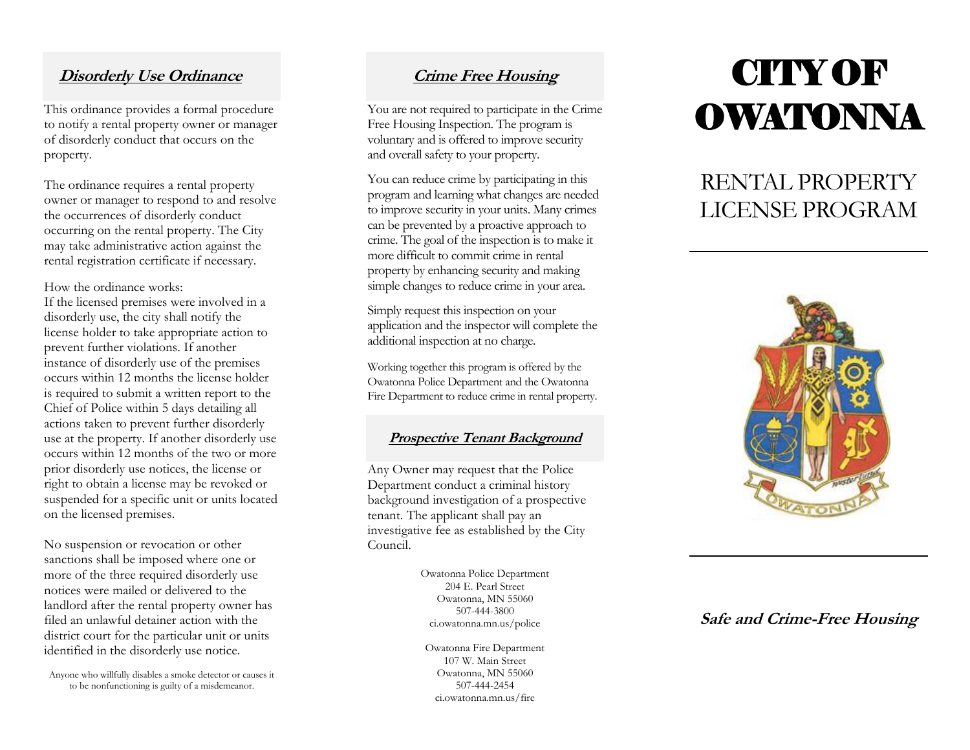#### **Disorderly Use Ordinance**

This ordinance provides a formal procedure to notify a rental property owner or manager of disorderly conduct that occur s on the property.

The ordinance requires a rental property owner or manager to respond to and resolve the occurrences of disorderly conduct occurring on the rental property . The City may take administrative action against the rental registration certificate if necessary.

#### How the ordinance works:

If the licensed premises were involved in a disorderly use, the city shall notify the license holder to take appropriate action to prevent further violations. If another instance of disorderly use of the premises occurs within 12 months the license holder is required to submit a written report to the Chief of Police within 5 days detailing all actions taken to prevent further disorderly use at the property. If another disorderly use occurs within 12 months of the two or more prior disorderly use notices, the license or right to obtain a license may be revoked or suspended for a specific unit or units located on the licensed premises.

No suspension or revocation or other sanctions shall be imposed where one or more of the three required disorderly use notices were mailed or delivered to the landlord after the rental property owner has filed an unlawful detainer action with the district court for the particular unit or units identified in the disorderly use notice.

Anyone who willfully disables a smoke detector or causes it to be nonfunctioning is guilty of a misdemeanor.

#### **Crime Free Housing**

You are not required to participate in the Crime Free Housing Inspection. The program is voluntary and is offered to improve security and overall safety to your property.

You can reduce crime by participating in this program and learning what changes are needed to improve security in your units. Many crimes can be prevented by a proactive approach to crime. The goal of the inspection is to make it more difficult to commit crime in rental property by enhancing security and making simple changes to reduce crime in your area.

Simply request this inspection on your application and the inspector will complete the additional inspection at no charge.

Working together this program is offered by the Owatonna Police Department and the Owatonna Fire Department to reduce crime in rental property .

#### **Prospective Tenant Background**

Any Owner may request that the Police Department conduct a criminal history background investigation of a prospective tenant. The applicant shall pay an investigative fee as established by the City Council.

> Owatonna Police Department 204 E. Pearl Street Owatonna, MN 55060 507 -444 -3800 ci.owatonna.mn.us/police

Owatonna Fire Department 107 W. Main Street Owatonna, MN 55060 507 -444 -2454 ci.owatonna.mn.us/fire

# **CITY OF OWATONNA**

### RENTAL PROPERTY LICENSE PROGRAM



#### **Safe and Crime-Free Housing**